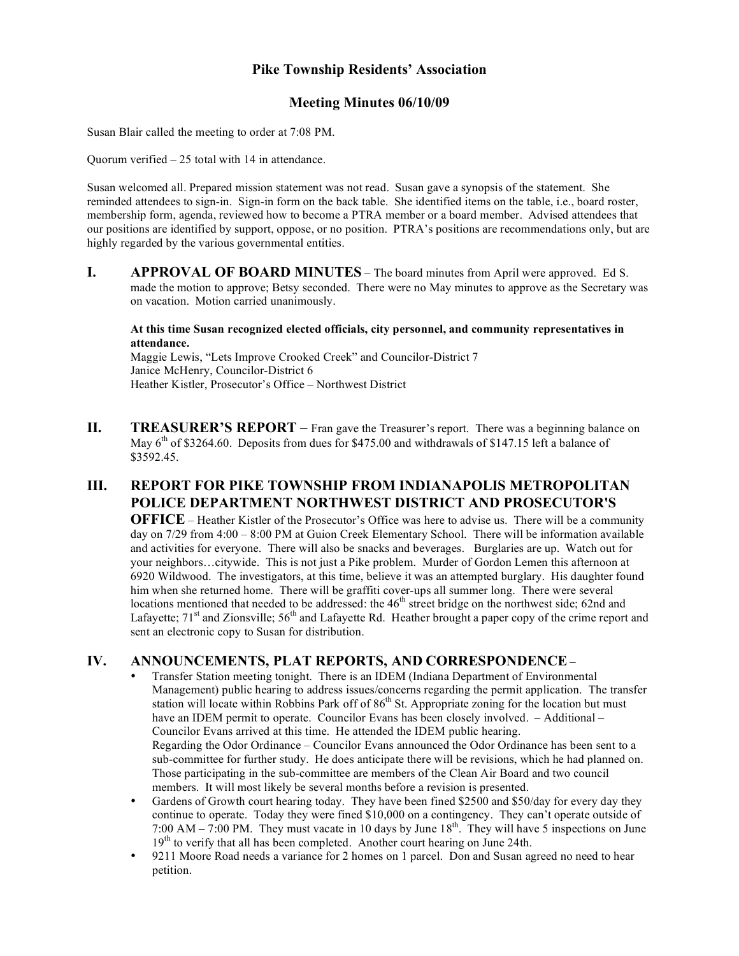# **Pike Township Residents' Association**

## **Meeting Minutes 06/10/09**

Susan Blair called the meeting to order at 7:08 PM.

Quorum verified – 25 total with 14 in attendance.

Susan welcomed all. Prepared mission statement was not read. Susan gave a synopsis of the statement. She reminded attendees to sign-in. Sign-in form on the back table. She identified items on the table, i.e., board roster, membership form, agenda, reviewed how to become a PTRA member or a board member. Advised attendees that our positions are identified by support, oppose, or no position. PTRA's positions are recommendations only, but are highly regarded by the various governmental entities.

**I. APPROVAL OF BOARD MINUTES** – The board minutes from April were approved. Ed S. made the motion to approve; Betsy seconded. There were no May minutes to approve as the Secretary was on vacation. Motion carried unanimously.

#### **At this time Susan recognized elected officials, city personnel, and community representatives in attendance.**

Maggie Lewis, "Lets Improve Crooked Creek" and Councilor-District 7 Janice McHenry, Councilor-District 6 Heather Kistler, Prosecutor's Office – Northwest District

**II. TREASURER'S REPORT** – Fran gave the Treasurer's report. There was a beginning balance on May 6<sup>th</sup> of \$3264.60. Deposits from dues for \$475.00 and withdrawals of \$147.15 left a balance of \$3592.45.

# **III. REPORT FOR PIKE TOWNSHIP FROM INDIANAPOLIS METROPOLITAN POLICE DEPARTMENT NORTHWEST DISTRICT AND PROSECUTOR'S**

**OFFICE** – Heather Kistler of the Prosecutor's Office was here to advise us. There will be a community day on 7/29 from 4:00 – 8:00 PM at Guion Creek Elementary School. There will be information available and activities for everyone. There will also be snacks and beverages. Burglaries are up. Watch out for your neighbors…citywide. This is not just a Pike problem. Murder of Gordon Lemen this afternoon at 6920 Wildwood. The investigators, at this time, believe it was an attempted burglary. His daughter found him when she returned home. There will be graffiti cover-ups all summer long. There were several locations mentioned that needed to be addressed: the  $46<sup>th</sup>$  street bridge on the northwest side; 62nd and Lafayette; 71<sup>st</sup> and Zionsville; 56<sup>th</sup> and Lafayette Rd. Heather brought a paper copy of the crime report and sent an electronic copy to Susan for distribution.

## **IV. ANNOUNCEMENTS, PLAT REPORTS, AND CORRESPONDENCE**–

- Transfer Station meeting tonight. There is an IDEM (Indiana Department of Environmental Management) public hearing to address issues/concerns regarding the permit application. The transfer station will locate within Robbins Park off of  $86<sup>th</sup>$  St. Appropriate zoning for the location but must have an IDEM permit to operate. Councilor Evans has been closely involved. – Additional – Councilor Evans arrived at this time. He attended the IDEM public hearing. Regarding the Odor Ordinance – Councilor Evans announced the Odor Ordinance has been sent to a sub-committee for further study. He does anticipate there will be revisions, which he had planned on. Those participating in the sub-committee are members of the Clean Air Board and two council members. It will most likely be several months before a revision is presented.
- Gardens of Growth court hearing today. They have been fined \$2500 and \$50/day for every day they continue to operate. Today they were fined \$10,000 on a contingency. They can't operate outside of 7:00 AM – 7:00 PM. They must vacate in 10 days by June 18<sup>th</sup>. They will have 5 inspections on June  $19<sup>th</sup>$  to verify that all has been completed. Another court hearing on June 24th.
- 9211 Moore Road needs a variance for 2 homes on 1 parcel. Don and Susan agreed no need to hear petition.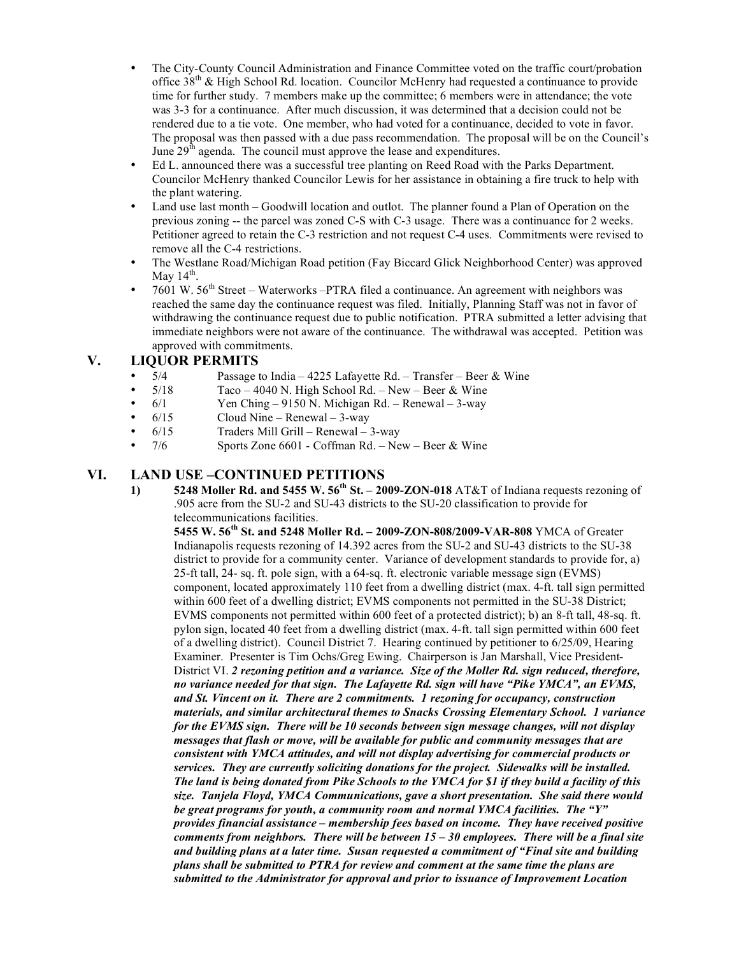- The City-County Council Administration and Finance Committee voted on the traffic court/probation office  $38<sup>th</sup>$  & High School Rd. location. Councilor McHenry had requested a continuance to provide time for further study. 7 members make up the committee; 6 members were in attendance; the vote was 3-3 for a continuance. After much discussion, it was determined that a decision could not be rendered due to a tie vote. One member, who had voted for a continuance, decided to vote in favor. The proposal was then passed with a due pass recommendation. The proposal will be on the Council's June  $29<sup>th</sup>$  agenda. The council must approve the lease and expenditures.
- Ed L. announced there was a successful tree planting on Reed Road with the Parks Department. Councilor McHenry thanked Councilor Lewis for her assistance in obtaining a fire truck to help with the plant watering.
- Land use last month Goodwill location and outlot. The planner found a Plan of Operation on the previous zoning -- the parcel was zoned C-S with C-3 usage. There was a continuance for 2 weeks. Petitioner agreed to retain the C-3 restriction and not request C-4 uses. Commitments were revised to remove all the C-4 restrictions.
- The Westlane Road/Michigan Road petition (Fay Biccard Glick Neighborhood Center) was approved May  $14^{th}$ .
- 7601 W.  $56<sup>th</sup>$  Street Waterworks –PTRA filed a continuance. An agreement with neighbors was reached the same day the continuance request was filed. Initially, Planning Staff was not in favor of withdrawing the continuance request due to public notification. PTRA submitted a letter advising that immediate neighbors were not aware of the continuance. The withdrawal was accepted. Petition was approved with commitments.

## **V. LIQUOR PERMITS**

- 5/4 Passage to India 4225 Lafayette Rd. Transfer Beer & Wine<br>5/18 Taco 4040 N. High School Rd. New Beer & Wine
- 
- $5/18$  Taco 4040 N. High School Rd. New Beer & Wine 6/1 Yen Ching 9150 N. Michigan Rd. Renewal 3-way 6/1 Yen Ching – 9150 N. Michigan Rd. – Renewal – 3-way 6/15 Cloud Nine – Renewal – 3-way
- $6/15$  Cloud Nine Renewal 3-way<br>  $6/15$  Traders Mill Grill Renewal 3
- 6/15 Traders Mill Grill Renewal 3-way
- 7/6 Sports Zone 6601 Coffman Rd. New Beer & Wine

## **VI. LAND USE –CONTINUED PETITIONS**

**1) 5248 Moller Rd. and 5455 W. 56th St. – 2009-ZON-018** AT&T of Indiana requests rezoning of .905 acre from the SU-2 and SU-43 districts to the SU-20 classification to provide for telecommunications facilities.

**5455 W. 56th St. and 5248 Moller Rd. – 2009-ZON-808/2009-VAR-808** YMCA of Greater Indianapolis requests rezoning of 14.392 acres from the SU-2 and SU-43 districts to the SU-38 district to provide for a community center. Variance of development standards to provide for, a) 25-ft tall, 24- sq. ft. pole sign, with a 64-sq. ft. electronic variable message sign (EVMS) component, located approximately 110 feet from a dwelling district (max. 4-ft. tall sign permitted within 600 feet of a dwelling district; EVMS components not permitted in the SU-38 District; EVMS components not permitted within 600 feet of a protected district); b) an 8-ft tall, 48-sq. ft. pylon sign, located 40 feet from a dwelling district (max. 4-ft. tall sign permitted within 600 feet of a dwelling district). Council District 7. Hearing continued by petitioner to 6/25/09, Hearing Examiner. Presenter is Tim Ochs/Greg Ewing. Chairperson is Jan Marshall, Vice President-District VI. *2 rezoning petition and a variance. Size of the Moller Rd. sign reduced, therefore, no variance needed for that sign. The Lafayette Rd. sign will have "Pike YMCA", an EVMS, and St. Vincent on it. There are 2 commitments. 1 rezoning for occupancy, construction materials, and similar architectural themes to Snacks Crossing Elementary School. 1 variance for the EVMS sign. There will be 10 seconds between sign message changes, will not display messages that flash or move, will be available for public and community messages that are consistent with YMCA attitudes, and will not display advertising for commercial products or services. They are currently soliciting donations for the project. Sidewalks will be installed. The land is being donated from Pike Schools to the YMCA for \$1 if they build a facility of this size. Tanjela Floyd, YMCA Communications, gave a short presentation. She said there would be great programs for youth, a community room and normal YMCA facilities. The "Y" provides financial assistance – membership fees based on income. They have received positive comments from neighbors. There will be between 15 – 30 employees. There will be a final site and building plans at a later time. Susan requested a commitment of "Final site and building plans shall be submitted to PTRA for review and comment at the same time the plans are submitted to the Administrator for approval and prior to issuance of Improvement Location*